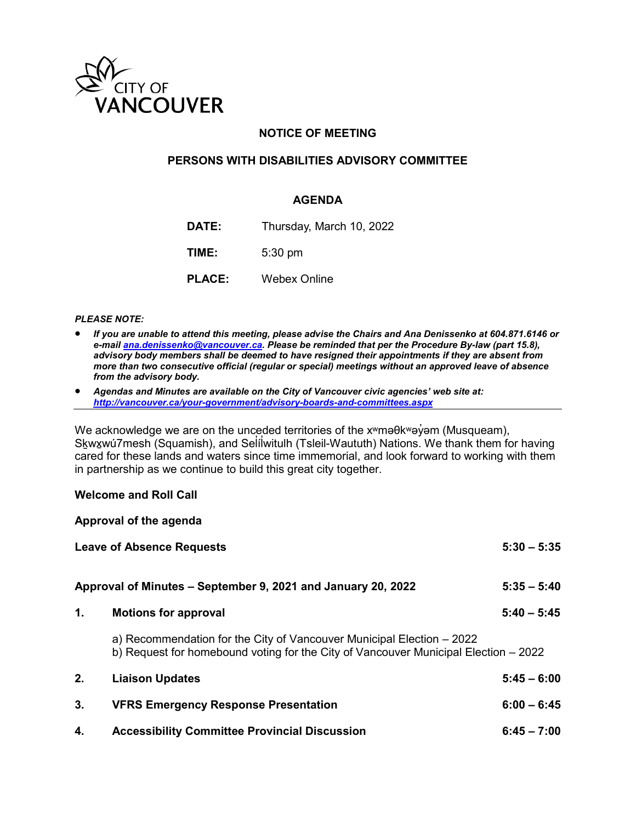

## **NOTICE OF MEETING**

### **PERSONS WITH DISABILITIES ADVISORY COMMITTEE**

### **AGENDA**

**DATE:** Thursday, March 10, 2022

**TIME:** 5:30 pm

**PLACE:** Webex Online

### *PLEASE NOTE:*

- *If you are unable to attend this meeting, please advise the Chairs and Ana Denissenko at 604.871.6146 or e-mai[l ana.denissenko@vancouver.ca.](mailto:ana.denissenko@vancouver.ca) Please be reminded that per the Procedure By-law (part 15.8), advisory body members shall be deemed to have resigned their appointments if they are absent from more than two consecutive official (regular or special) meetings without an approved leave of absence from the advisory body.*
- *Agendas and Minutes are available on the City of Vancouver civic agencies' web site at: <http://vancouver.ca/your-government/advisory-boards-and-committees.aspx>*

We acknowledge we are on the unceded territories of the x<sup>w</sup>maθk<sup>w</sup>aγ<sup>o</sup> m (Musqueam), S<u>k</u>wx̯wú7mesh (Squamish), and Selílwitulh (Tsleil-Waututh) Nations. We thank them for having ̓ ̓ cared for these lands and waters since time immemorial, and look forward to working with them in partnership as we continue to build this great city together.

#### **Welcome and Roll Call**

|    | Approval of the agenda                                                                                                                                       |               |
|----|--------------------------------------------------------------------------------------------------------------------------------------------------------------|---------------|
|    | <b>Leave of Absence Requests</b>                                                                                                                             | $5:30 - 5:35$ |
|    | Approval of Minutes – September 9, 2021 and January 20, 2022                                                                                                 | $5:35 - 5:40$ |
| 1. | <b>Motions for approval</b>                                                                                                                                  | $5:40 - 5:45$ |
|    | a) Recommendation for the City of Vancouver Municipal Election – 2022<br>b) Request for homebound voting for the City of Vancouver Municipal Election – 2022 |               |
| 2. | <b>Liaison Updates</b>                                                                                                                                       | $5:45 - 6:00$ |
| 3. | <b>VFRS Emergency Response Presentation</b>                                                                                                                  | $6:00 - 6:45$ |
| 4. | <b>Accessibility Committee Provincial Discussion</b>                                                                                                         | $6:45 - 7:00$ |